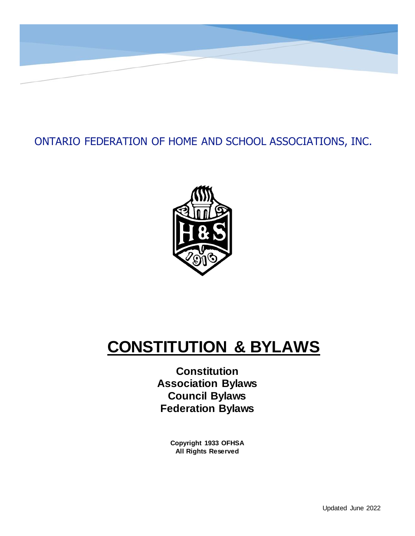

### ONTARIO FEDERATION OF HOME AND SCHOOL ASSOCIATIONS, INC.



## **CONSTITUTION & BYLAWS**

**Constitution Association Bylaws Council Bylaws Federation Bylaws**

> **Copyright 1933 OFHSA All Rights Reserved**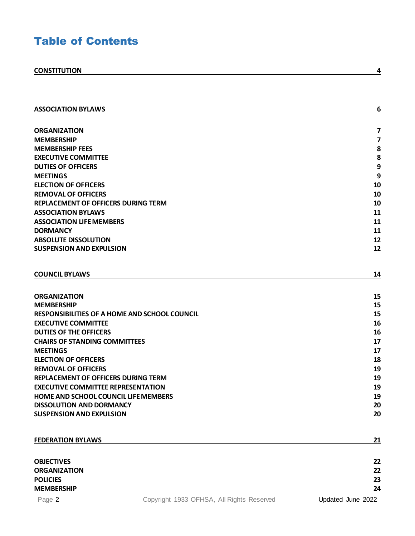### Table of Contents

| <b>ASSOCIATION BYLAWS</b>                                          |                                           | 6                       |
|--------------------------------------------------------------------|-------------------------------------------|-------------------------|
|                                                                    |                                           |                         |
| ORGANIZATION                                                       |                                           | 7                       |
| <b>MEMBERSHIP</b>                                                  |                                           | $\overline{\mathbf{z}}$ |
| <b>MEMBERSHIP FEES</b><br><b>EXECUTIVE COMMITTEE</b>               |                                           | 8<br>8                  |
| <b>DUTIES OF OFFICERS</b>                                          |                                           | 9                       |
| <b>MEETINGS</b>                                                    |                                           | 9                       |
| <b>ELECTION OF OFFICERS</b>                                        |                                           | 10                      |
| <b>REMOVAL OF OFFICERS</b>                                         |                                           | 10                      |
| REPLACEMENT OF OFFICERS DURING TERM                                |                                           | 10                      |
| <b>ASSOCIATION BYLAWS</b>                                          |                                           | 11                      |
| <b>ASSOCIATION LIFE MEMBERS</b>                                    |                                           | 11                      |
| <b>DORMANCY</b>                                                    |                                           | 11                      |
| <b>ABSOLUTE DISSOLUTION</b>                                        |                                           | 12                      |
| <b>SUSPENSION AND EXPULSION</b>                                    |                                           | 12                      |
|                                                                    |                                           |                         |
| <b>COUNCIL BYLAWS</b>                                              |                                           | 14                      |
| <b>ORGANIZATION</b>                                                |                                           | 15                      |
| MEMBERSHIP                                                         |                                           | 15                      |
| <b>RESPONSIBILITIES OF A HOME AND SCHOOL COUNCIL</b>               |                                           | 15                      |
| <b>EXECUTIVE COMMITTEE</b>                                         |                                           | 16                      |
| <b>DUTIES OF THE OFFICERS</b>                                      |                                           | 16                      |
| <b>CHAIRS OF STANDING COMMITTEES</b>                               |                                           | 17                      |
| <b>MEETINGS</b>                                                    |                                           | 17                      |
| <b>ELECTION OF OFFICERS</b>                                        |                                           | 18                      |
| <b>REMOVAL OF OFFICERS</b>                                         |                                           | 19                      |
| REPLACEMENT OF OFFICERS DURING TERM                                |                                           | 19                      |
| <b>EXECUTIVE COMMITTEE REPRESENTATION</b>                          |                                           | 19                      |
| <b>HOME AND SCHOOL COUNCIL LIFE MEMBERS</b>                        |                                           | 19                      |
| <b>DISSOLUTION AND DORMANCY</b><br><b>SUSPENSION AND EXPULSION</b> |                                           | 20                      |
|                                                                    |                                           | 20                      |
| <b>FEDERATION BYLAWS</b>                                           |                                           | 21                      |
|                                                                    |                                           |                         |
| <b>OBJECTIVES</b>                                                  |                                           | 22                      |
| <b>ORGANIZATION</b>                                                |                                           | 22                      |
| <b>POLICIES</b>                                                    |                                           | 23                      |
| <b>MEMBERSHIP</b>                                                  |                                           | 24                      |
| Page 2                                                             | Copyright 1933 OFHSA, All Rights Reserved | Updated June 2022       |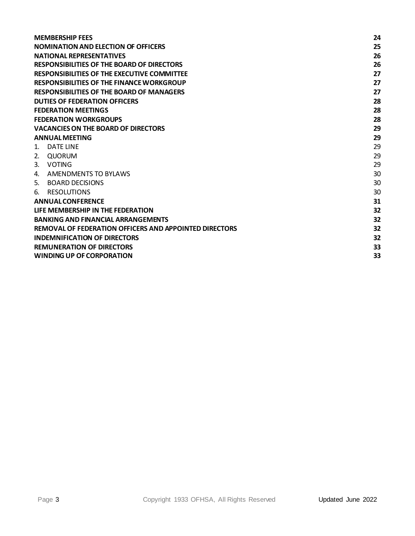| <b>MEMBERSHIP FEES</b>                                        | 24 |  |
|---------------------------------------------------------------|----|--|
| <b>NOMINATION AND ELECTION OF OFFICERS</b>                    | 25 |  |
| <b>NATIONAL REPRESENTATIVES</b>                               | 26 |  |
| <b>RESPONSIBILITIES OF THE BOARD OF DIRECTORS</b>             | 26 |  |
| <b>RESPONSIBILITIES OF THE EXECUTIVE COMMITTEE</b>            | 27 |  |
| <b>RESPONSIBILITIES OF THE FINANCE WORKGROUP</b>              | 27 |  |
| <b>RESPONSIBILITIES OF THE BOARD OF MANAGERS</b>              |    |  |
| <b>DUTIES OF FEDERATION OFFICERS</b>                          | 28 |  |
| <b>FEDERATION MEETINGS</b>                                    | 28 |  |
| <b>FEDERATION WORKGROUPS</b>                                  | 28 |  |
| <b>VACANCIES ON THE BOARD OF DIRECTORS</b>                    | 29 |  |
| <b>ANNUAL MEETING</b>                                         | 29 |  |
| DATE LINE<br>$\mathbf{1}$ .                                   | 29 |  |
| QUORUM<br>2.                                                  | 29 |  |
| 3.<br><b>VOTING</b>                                           | 29 |  |
| AMENDMENTS TO BYLAWS<br>4.                                    | 30 |  |
| 5.<br>BOARD DECISIONS                                         | 30 |  |
| <b>RESOLUTIONS</b><br>6.                                      | 30 |  |
| <b>ANNUAL CONFERENCE</b>                                      | 31 |  |
| LIFE MEMBERSHIP IN THE FEDERATION                             |    |  |
| <b>BANKING AND FINANCIAL ARRANGEMENTS</b>                     |    |  |
| <b>REMOVAL OF FEDERATION OFFICERS AND APPOINTED DIRECTORS</b> |    |  |
| <b>INDEMNIFICATION OF DIRECTORS</b>                           |    |  |
| <b>REMUNERATION OF DIRECTORS</b>                              |    |  |
| <b>WINDING UP OF CORPORATION</b>                              |    |  |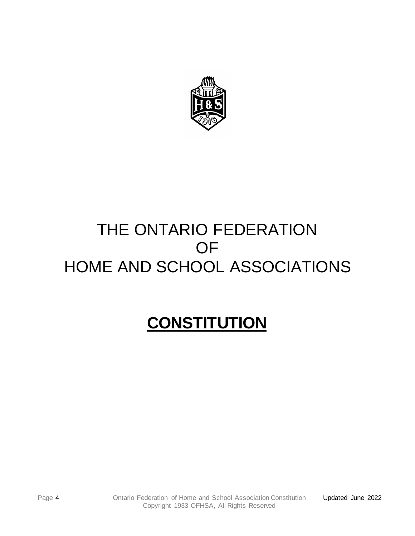

## THE ONTARIO FEDERATION OF HOME AND SCHOOL ASSOCIATIONS

# <span id="page-3-0"></span> **CONSTITUTION**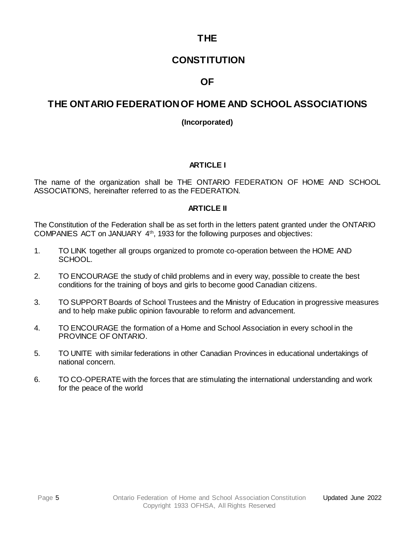### **THE**

### **CONSTITUTION**

### **OF**

### **THE ONTARIO FEDERATION OF HOME AND SCHOOL ASSOCIATIONS**

#### **(Incorporated)**

#### **ARTICLE I**

The name of the organization shall be THE ONTARIO FEDERATION OF HOME AND SCHOOL ASSOCIATIONS, hereinafter referred to as the FEDERATION.

#### **ARTICLE II**

The Constitution of the Federation shall be as set forth in the letters patent granted under the ONTARIO COMPANIES ACT on JANUARY 4th, 1933 for the following purposes and objectives:

- 1. TO LINK together all groups organized to promote co-operation between the HOME AND SCHOOL.
- 2. TO ENCOURAGE the study of child problems and in every way, possible to create the best conditions for the training of boys and girls to become good Canadian citizens.
- 3. TO SUPPORT Boards of School Trustees and the Ministry of Education in progressive measures and to help make public opinion favourable to reform and advancement.
- 4. TO ENCOURAGE the formation of a Home and School Association in every school in the PROVINCE OF ONTARIO.
- 5. TO UNITE with similar federations in other Canadian Provinces in educational undertakings of national concern.
- 6. TO CO-OPERATE with the forces that are stimulating the international understanding and work for the peace of the world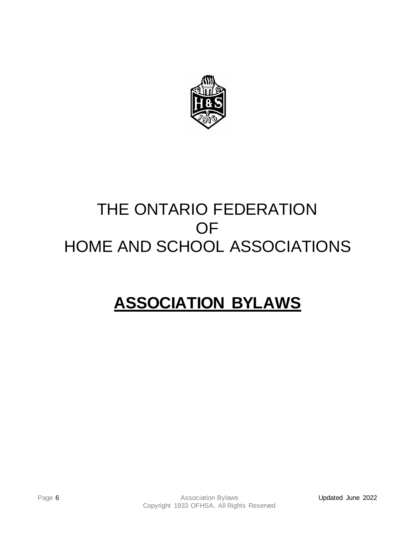

## THE ONTARIO FEDERATION OF HOME AND SCHOOL ASSOCIATIONS

## <span id="page-5-0"></span>**ASSOCIATION BYLAWS**

Page 6 **Association Bylaws** Copyright 1933 OFHSA, All Rights Reserved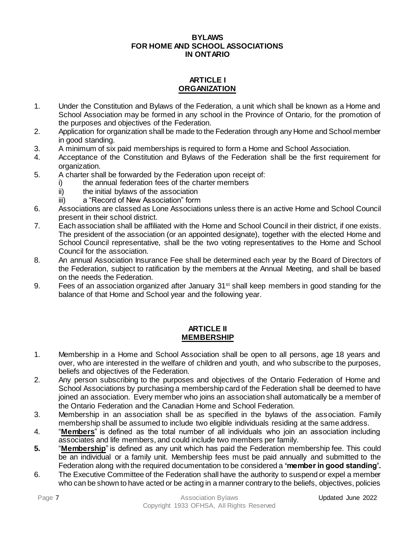#### **BYLAWS FOR HOME AND SCHOOL ASSOCIATIONS IN ONTARIO**

#### **ARTICLE I ORGANIZATION**

- <span id="page-6-0"></span>1. Under the Constitution and Bylaws of the Federation, a unit which shall be known as a Home and School Association may be formed in any school in the Province of Ontario, for the promotion of the purposes and objectives of the Federation.
- 2. Application for organization shall be made to the Federation through any Home and School member in good standing.
- 3. A minimum of six paid memberships is required to form a Home and School Association.
- 4. Acceptance of the Constitution and Bylaws of the Federation shall be the first requirement for organization.
- 5. A charter shall be forwarded by the Federation upon receipt of:
	- i) the annual federation fees of the charter members
	- ii) the initial bylaws of the association
	- iii) a "Record of New Association" form
- 6. Associations are classed as Lone Associations unless there is an active Home and School Council present in their school district.
- 7. Each association shall be affiliated with the Home and School Council in their district, if one exists. The president of the association (or an appointed designate), together with the elected Home and School Council representative, shall be the two voting representatives to the Home and School Council for the association.
- 8. An annual Association Insurance Fee shall be determined each year by the Board of Directors of the Federation, subject to ratification by the members at the Annual Meeting, and shall be based on the needs the Federation.
- 9. Fees of an association organized after January 31<sup>st</sup> shall keep members in good standing for the balance of that Home and School year and the following year.

#### **ARTICLE II MEMBERSHIP**

- <span id="page-6-1"></span>1. Membership in a Home and School Association shall be open to all persons, age 18 years and over, who are interested in the welfare of children and youth, and who subscribe to the purposes, beliefs and objectives of the Federation.
- 2. Any person subscribing to the purposes and objectives of the Ontario Federation of Home and School Associations by purchasing a membership card of the Federation shall be deemed to have joined an association. Every member who joins an association shall automatically be a member of the Ontario Federation and the Canadian Home and School Federation.
- 3. Membership in an association shall be as specified in the bylaws of the association. Family membership shall be assumed to include two eligible individuals residing at the same address.
- 4. "**Members**" is defined as the total number of all individuals who join an association including associates and life members, and could include two members per family.
- **5.** "**Membership**" is defined as any unit which has paid the Federation membership fee. This could be an individual or a family unit. Membership fees must be paid annually and submitted to the Federation along with the required documentation to be considered a **'member in good standing'.**
- 6. The Executive Committee of the Federation shall have the authority to suspend or expel a member who can be shown to have acted or be acting in a manner contrary to the beliefs, objectives, policies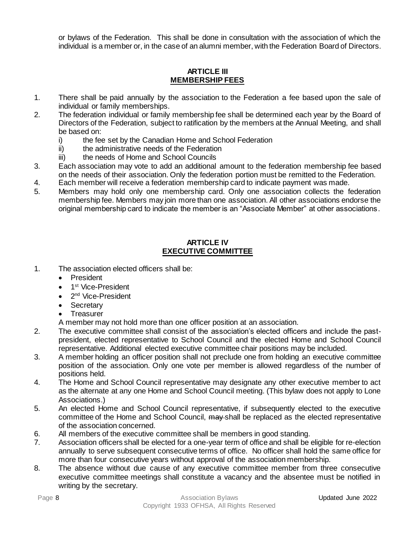or bylaws of the Federation. This shall be done in consultation with the association of which the individual is a member or, in the case of an alumni member, with the Federation Board of Directors.

#### **ARTICLE III MEMBERSHIP FEES**

- <span id="page-7-0"></span>1. There shall be paid annually by the association to the Federation a fee based upon the sale of individual or family memberships.
- 2. The federation individual or family membership fee shall be determined each year by the Board of Directors of the Federation, subject to ratification by the members at the Annual Meeting, and shall be based on:
	- i) the fee set by the Canadian Home and School Federation
	- ii) the administrative needs of the Federation
	- iii) the needs of Home and School Councils
- 3. Each association may vote to add an additional amount to the federation membership fee based on the needs of their association. Only the federation portion must be remitted to the Federation.
- 4. Each member will receive a federation membership card to indicate payment was made.
- 5. Members may hold only one membership card. Only one association collects the federation membership fee. Members may join more than one association. All other associations endorse the original membership card to indicate the member is an "Associate Member" at other associations.

#### **ARTICLE IV EXECUTIVE COMMITTEE**

- <span id="page-7-1"></span>1. The association elected officers shall be:
	- President
	- 1<sup>st</sup> Vice-President
	- 2<sup>nd</sup> Vice-President
	- **Secretary**
	- **Treasurer**
	- A member may not hold more than one officer position at an association.
- 2. The executive committee shall consist of the association's elected officers and include the pastpresident, elected representative to School Council and the elected Home and School Council representative. Additional elected executive committee chair positions may be included.
- 3. A member holding an officer position shall not preclude one from holding an executive committee position of the association. Only one vote per member is allowed regardless of the number of positions held.
- 4. The Home and School Council representative may designate any other executive member to act as the alternate at any one Home and School Council meeting. (This bylaw does not apply to Lone Associations.)
- 5. An elected Home and School Council representative, if subsequently elected to the executive committee of the Home and School Council, may shall be replaced as the elected representative of the association concerned.
- 6. All members of the executive committee shall be members in good standing.
- 7. Association officers shall be elected for a one-year term of office and shall be eligible for re-election annually to serve subsequent consecutive terms of office. No officer shall hold the same office for more than four consecutive years without approval of the association membership.
- 8. The absence without due cause of any executive committee member from three consecutive executive committee meetings shall constitute a vacancy and the absentee must be notified in writing by the secretary.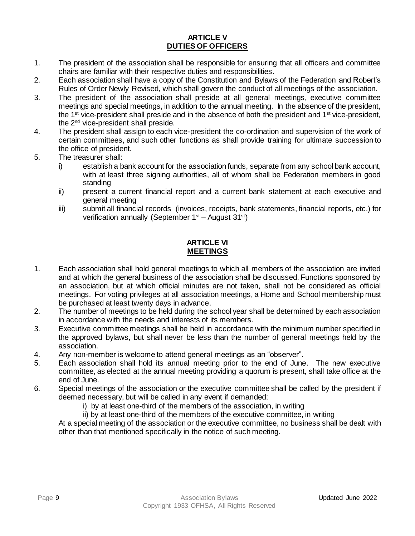#### **ARTICLE V DUTIES OF OFFICERS**

- <span id="page-8-0"></span>1. The president of the association shall be responsible for ensuring that all officers and committee chairs are familiar with their respective duties and responsibilities.
- 2. Each association shall have a copy of the Constitution and Bylaws of the Federation and Robert's Rules of Order Newly Revised, which shall govern the conduct of all meetings of the association.
- 3. The president of the association shall preside at all general meetings, executive committee meetings and special meetings, in addition to the annual meeting. In the absence of the president, the  $1<sup>st</sup>$  vice-president shall preside and in the absence of both the president and  $1<sup>st</sup>$  vice-president, the 2nd vice-president shall preside.
- 4. The president shall assign to each vice-president the co-ordination and supervision of the work of certain committees, and such other functions as shall provide training for ultimate succession to the office of president.
- 5. The treasurer shall:
	- i) establish a bank account for the association funds, separate from any school bank account, with at least three signing authorities, all of whom shall be Federation members in good standing
	- ii) present a current financial report and a current bank statement at each executive and general meeting
	- iii) submit all financial records (invoices, receipts, bank statements, financial reports, etc.) for verification annually (September 1<sup>st</sup> – August 31<sup>st</sup>)

#### **ARTICLE VI MEETINGS**

- <span id="page-8-1"></span>1. Each association shall hold general meetings to which all members of the association are invited and at which the general business of the association shall be discussed. Functions sponsored by an association, but at which official minutes are not taken, shall not be considered as official meetings. For voting privileges at all association meetings, a Home and School membership must be purchased at least twenty days in advance.
- 2. The number of meetings to be held during the school year shall be determined by each association in accordance with the needs and interests of its members.
- 3. Executive committee meetings shall be held in accordance with the minimum number specified in the approved bylaws, but shall never be less than the number of general meetings held by the association.
- 4. Any non-member is welcome to attend general meetings as an "observer".
- 5. Each association shall hold its annual meeting prior to the end of June. The new executive committee, as elected at the annual meeting providing a quorum is present, shall take office at the end of June.
- 6. Special meetings of the association or the executive committee shall be called by the president if deemed necessary, but will be called in any event if demanded:
	- i) by at least one-third of the members of the association, in writing
	- ii) by at least one-third of the members of the executive committee, in writing

At a special meeting of the association or the executive committee, no business shall be dealt with other than that mentioned specifically in the notice of such meeting.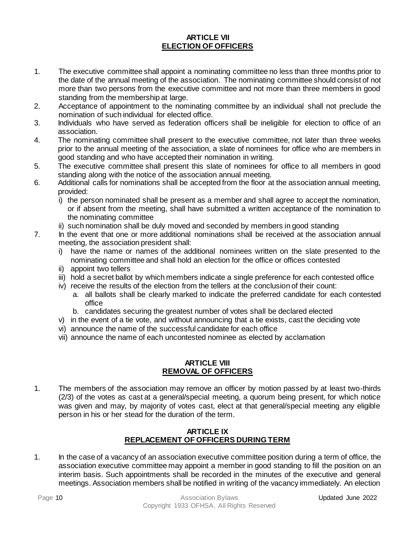#### **ARTICLE VII ELECTION OF OFFICERS**

- <span id="page-9-0"></span>1. The executive committee shall appoint a nominating committee no less than three months prior to the date of the annual meeting of the association. The nominating committee should consist of not more than two persons from the executive committee and not more than three members in good standing from the membership at large.
- 2. Acceptance of appointment to the nominating committee by an individual shall not preclude the nomination of such individual for elected office.
- 3. Individuals who have served as federation officers shall be ineligible for election to office of an association.
- 4. The nominating committee shall present to the executive committee, not later than three weeks prior to the annual meeting of the association, a slate of nominees for office who are members in good standing and who have accepted their nomination in writing.
- 5. The executive committee shall present this slate of nominees for office to all members in good standing along with the notice of the association annual meeting.
- 6. Additional calls for nominations shall be accepted from the floor at the association annual meeting, provided:
	- i) the person nominated shall be present as a member and shall agree to accept the nomination, or if absent from the meeting, shall have submitted a written acceptance of the nomination to the nominating committee
	- ii) such nomination shall be duly moved and seconded by members in good standing
- 7. In the event that one or more additional nominations shall be received at the association annual meeting, the association president shall:
	- i) have the name or names of the additional nominees written on the slate presented to the nominating committee and shall hold an election for the office or offices contested
	- ii) appoint two tellers
	- iii) hold a secret ballot by which members indicate a single preference for each contested office
	- iv) receive the results of the election from the tellers at the conclusion of their count:
		- a. all ballots shall be clearly marked to indicate the preferred candidate for each contested office
		- b. candidates securing the greatest number of votes shall be declared elected
	- v) in the event of a tie vote, and without announcing that a tie exists, cast the deciding vote
	- vi) announce the name of the successful candidate for each office
	- vii) announce the name of each uncontested nominee as elected by acclamation

#### **ARTICLE VIII REMOVAL OF OFFICERS**

<span id="page-9-1"></span>1. The members of the association may remove an officer by motion passed by at least two-thirds (2/3) of the votes as cast at a general/special meeting, a quorum being present, for which notice was given and may, by majority of votes cast, elect at that general/special meeting any eligible person in his or her stead for the duration of the term.

#### **ARTICLE IX REPLACEMENT OF OFFICERS DURING TERM**

<span id="page-9-2"></span>1. In the case of a vacancy of an association executive committee position during a term of office, the association executive committee may appoint a member in good standing to fill the position on an interim basis. Such appointments shall be recorded in the minutes of the executive and general meetings. Association members shall be notified in writing of the vacancy immediately. An election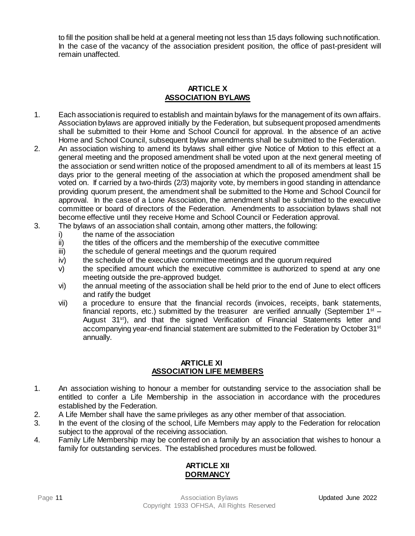to fill the position shall be held at a general meeting not less than 15 days following such notification. In the case of the vacancy of the association president position, the office of past-president will remain unaffected.

#### **ARTICLE X ASSOCIATION BYLAWS**

- <span id="page-10-0"></span>1. Each association is required to establish and maintain bylaws for the management of its own affairs. Association bylaws are approved initially by the Federation, but subsequent proposed amendments shall be submitted to their Home and School Council for approval. In the absence of an active Home and School Council, subsequent bylaw amendments shall be submitted to the Federation.
- 2. An association wishing to amend its bylaws shall either give Notice of Motion to this effect at a general meeting and the proposed amendment shall be voted upon at the next general meeting of the association or send written notice of the proposed amendment to all of its members at least 15 days prior to the general meeting of the association at which the proposed amendment shall be voted on. If carried by a two-thirds (2/3) majority vote, by members in good standing in attendance providing quorum present, the amendment shall be submitted to the Home and School Council for approval. In the case of a Lone Association, the amendment shall be submitted to the executive committee or board of directors of the Federation.Amendments to association bylaws shall not become effective until they receive Home and School Council or Federation approval.
- 3. The bylaws of an association shall contain, among other matters, the following:
	- i) the name of the association<br>ii) the titles of the officers and the
	- the titles of the officers and the membership of the executive committee
	- iii) the schedule of general meetings and the quorum required
	- iv) the schedule of the executive committee meetings and the quorum required
	- v) the specified amount which the executive committee is authorized to spend at any one meeting outside the pre-approved budget.
	- vi) the annual meeting of the association shall be held prior to the end of June to elect officers and ratify the budget
	- vii) a procedure to ensure that the financial records (invoices, receipts, bank statements, financial reports, etc.) submitted by the treasurer are verified annually (September  $1<sup>st</sup>$  – August 31<sup>st</sup>), and that the signed Verification of Financial Statements letter and accompanying year-end financial statement are submitted to the Federation by October 31<sup>st</sup> annually.

#### **ARTICLE XI ASSOCIATION LIFE MEMBERS**

- <span id="page-10-1"></span>1. An association wishing to honour a member for outstanding service to the association shall be entitled to confer a Life Membership in the association in accordance with the procedures established by the Federation.
- 2. A Life Member shall have the same privileges as any other member of that association.
- 3. In the event of the closing of the school, Life Members may apply to the Federation for relocation subject to the approval of the receiving association.
- <span id="page-10-2"></span>4. Family Life Membership may be conferred on a family by an association that wishes to honour a family for outstanding services. The established procedures must be followed.

#### **ARTICLE XII DORMANCY**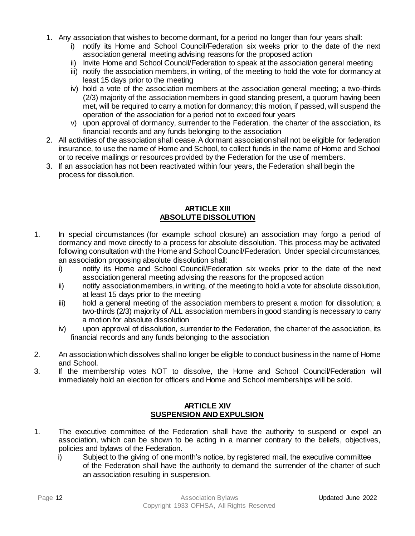- 1. Any association that wishes to become dormant, for a period no longer than four years shall:
	- i) notify its Home and School Council/Federation six weeks prior to the date of the next association general meeting advising reasons for the proposed action
	- ii) Invite Home and School Council/Federation to speak at the association general meeting
	- iii) notify the association members, in writing, of the meeting to hold the vote for dormancy at least 15 days prior to the meeting
	- iv) hold a vote of the association members at the association general meeting; a two-thirds (2/3) majority of the association members in good standing present, a quorum having been met, will be required to carry a motion for dormancy; this motion, if passed, will suspend the operation of the association for a period not to exceed four years
	- v) upon approval of dormancy, surrender to the Federation, the charter of the association, its financial records and any funds belonging to the association
- 2. All activities of the association shall cease. A dormant association shall not be eligible for federation insurance, to use the name of Home and School, to collect funds in the name of Home and School or to receive mailings or resources provided by the Federation for the use of members.
- 3. If an association has not been reactivated within four years, the Federation shall begin the process for dissolution.

#### **ARTICLE XIII ABSOLUTE DISSOLUTION**

- <span id="page-11-0"></span>1. In special circumstances (for example school closure) an association may forgo a period of dormancy and move directly to a process for absolute dissolution. This process may be activated following consultation with the Home and School Council/Federation. Under special circumstances, an association proposing absolute dissolution shall:
	- i) notify its Home and School Council/Federation six weeks prior to the date of the next association general meeting advising the reasons for the proposed action
	- ii) notify association members, in writing, of the meeting to hold a vote for absolute dissolution, at least 15 days prior to the meeting
	- iii) hold a general meeting of the association members to present a motion for dissolution; a two-thirds (2/3) majority of ALL association members in good standing is necessary to carry a motion for absolute dissolution
	- iv) upon approval of dissolution, surrender to the Federation, the charter of the association, its financial records and any funds belonging to the association
- 2. An association which dissolves shall no longer be eligible to conduct business in the name of Home and School.
- 3. If the membership votes NOT to dissolve, the Home and School Council/Federation will immediately hold an election for officers and Home and School memberships will be sold.

#### **ARTICLE XIV SUSPENSION AND EXPULSION**

- <span id="page-11-1"></span>1. The executive committee of the Federation shall have the authority to suspend or expel an association, which can be shown to be acting in a manner contrary to the beliefs, objectives, policies and bylaws of the Federation.
	- i) Subject to the giving of one month's notice, by registered mail, the executive committee of the Federation shall have the authority to demand the surrender of the charter of such an association resulting in suspension.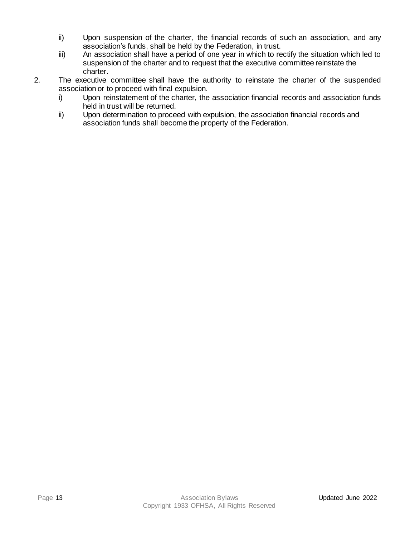- ii) Upon suspension of the charter, the financial records of such an association, and any association's funds, shall be held by the Federation, in trust.
- iii) An association shall have a period of one year in which to rectify the situation which led to suspension of the charter and to request that the executive committee reinstate the charter.
- 2. The executive committee shall have the authority to reinstate the charter of the suspended association or to proceed with final expulsion.
	- i) Upon reinstatement of the charter, the association financial records and association funds held in trust will be returned.
	- ii) Upon determination to proceed with expulsion, the association financial records and association funds shall become the property of the Federation.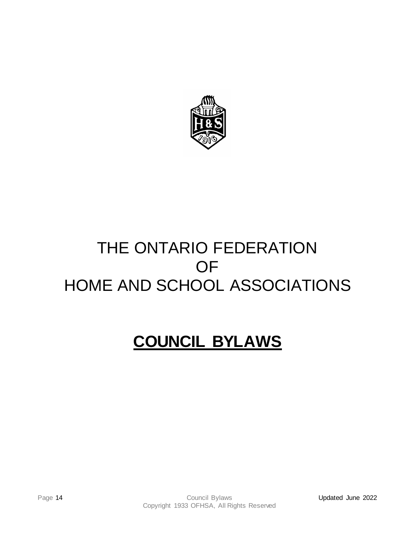

# THE ONTARIO FEDERATION OF HOME AND SCHOOL ASSOCIATIONS

# <span id="page-13-0"></span>**COUNCIL BYLAWS**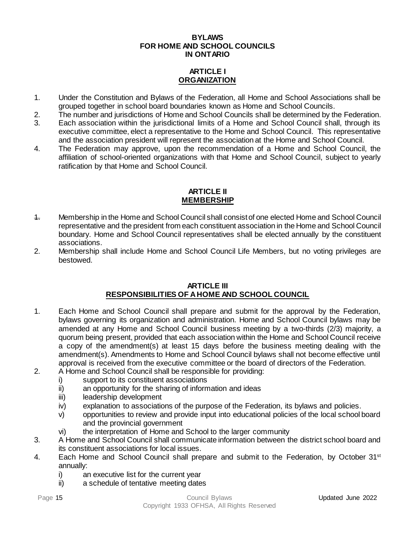#### **BYLAWS FOR HOME AND SCHOOL COUNCILS IN ONTARIO**

### **ARTICLE I ORGANIZATION**

- <span id="page-14-0"></span>1. Under the Constitution and Bylaws of the Federation, all Home and School Associations shall be grouped together in school board boundaries known as Home and School Councils.
- 2. The number and jurisdictions of Home and School Councils shall be determined by the Federation.
- 3. Each association within the jurisdictional limits of a Home and School Council shall, through its executive committee, elect a representative to the Home and School Council. This representative and the association president will represent the association at the Home and School Council.
- 4. The Federation may approve, upon the recommendation of a Home and School Council, the affiliation of school-oriented organizations with that Home and School Council, subject to yearly ratification by that Home and School Council.

#### **ARTICLE II MEMBERSHIP**

- <span id="page-14-1"></span>1. Membership in the Home and School Council shall consist of one elected Home and School Council representative and the president from each constituent association in the Home and School Council boundary. Home and School Council representatives shall be elected annually by the constituent associations.
- 2. Membership shall include Home and School Council Life Members, but no voting privileges are bestowed.

#### **ARTICLE III RESPONSIBILITIES OF A HOME AND SCHOOL COUNCIL**

- <span id="page-14-2"></span>1. Each Home and School Council shall prepare and submit for the approval by the Federation, bylaws governing its organization and administration. Home and School Council bylaws may be amended at any Home and School Council business meeting by a two-thirds (2/3) majority, a quorum being present, provided that each association within the Home and School Council receive a copy of the amendment(s) at least 15 days before the business meeting dealing with the amendment(s). Amendments to Home and School Council bylaws shall not become effective until approval is received from the executive committee or the board of directors of the Federation.
- 2. A Home and School Council shall be responsible for providing:
	- i) support to its constituent associations
	- ii) an opportunity for the sharing of information and ideas
	- iii) leadership development
	- iv) explanation to associations of the purpose of the Federation, its bylaws and policies.
	- v) opportunities to review and provide input into educational policies of the local school board and the provincial government
	- vi) the interpretation of Home and School to the larger community
- 3. A Home and School Council shall communicate information between the district school board and its constituent associations for local issues.
- 4. Each Home and School Council shall prepare and submit to the Federation, by October 31<sup>st</sup> annually:
	- i) an executive list for the current year
	- ii) a schedule of tentative meeting dates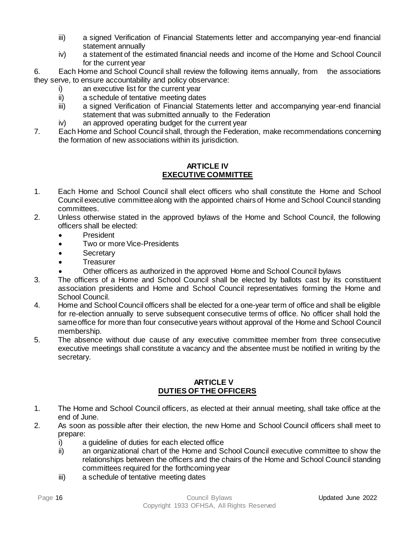- iii) a signed Verification of Financial Statements letter and accompanying year-end financial statement annually
- iv) a statement of the estimated financial needs and income of the Home and School Council for the current year

6. Each Home and School Council shall review the following items annually, from the associations they serve, to ensure accountability and policy observance:

- i) an executive list for the current year
- ii) a schedule of tentative meeting dates
- iii) a signed Verification of Financial Statements letter and accompanying year-end financial statement that was submitted annually to the Federation
- iv) an approved operating budget for the current year
- 7. Each Home and School Council shall, through the Federation, make recommendations concerning the formation of new associations within its jurisdiction.

#### **ARTICLE IV EXECUTIVE COMMITTEE**

- <span id="page-15-0"></span>1. Each Home and School Council shall elect officers who shall constitute the Home and School Council executive committee along with the appointed chairs of Home and School Council standing committees.
- 2. Unless otherwise stated in the approved bylaws of the Home and School Council, the following officers shall be elected:
	- President
	- Two or more Vice-Presidents
	- Secretary
	- Treasurer
	- Other officers as authorized in the approved Home and School Council bylaws
- 3. The officers of a Home and School Council shall be elected by ballots cast by its constituent association presidents and Home and School Council representatives forming the Home and School Council.
- 4. Home and School Council officers shall be elected for a one-year term of office and shall be eligible for re-election annually to serve subsequent consecutive terms of office. No officer shall hold the same office for more than four consecutive years without approval of the Home and School Council membership.
- 5. The absence without due cause of any executive committee member from three consecutive executive meetings shall constitute a vacancy and the absentee must be notified in writing by the secretary.

#### **ARTICLE V DUTIES OF THE OFFICERS**

- <span id="page-15-1"></span>1. The Home and School Council officers, as elected at their annual meeting, shall take office at the end of June.
- 2. As soon as possible after their election, the new Home and School Council officers shall meet to prepare:
	- i) a guideline of duties for each elected office
	- ii) an organizational chart of the Home and School Council executive committee to show the relationships between the officers and the chairs of the Home and School Council standing committees required for the forthcoming year
	- iii) a schedule of tentative meeting dates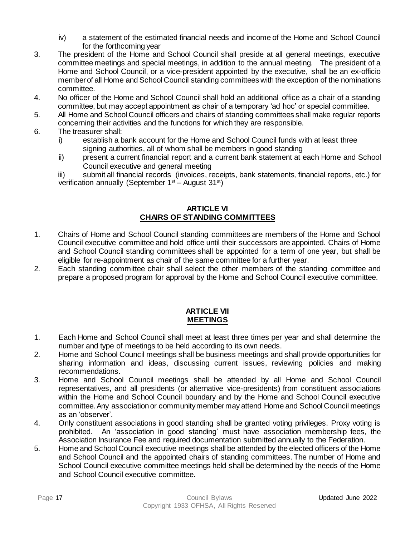- iv) a statement of the estimated financial needs and income of the Home and School Council for the forthcoming year
- 3. The president of the Home and School Council shall preside at all general meetings, executive committee meetings and special meetings, in addition to the annual meeting. The president of a Home and School Council, or a vice-president appointed by the executive, shall be an ex-officio member of all Home and School Council standing committees with the exception of the nominations committee.
- 4. No officer of the Home and School Council shall hold an additional office as a chair of a standing committee, but may accept appointment as chair of a temporary 'ad hoc' or special committee.
- 5. All Home and School Council officers and chairs of standing committees shall make regular reports concerning their activities and the functions for which they are responsible.
- 6. The treasurer shall:
	- i) establish a bank account for the Home and School Council funds with at least three signing authorities, all of whom shall be members in good standing
	- ii) present a current financial report and a current bank statement at each Home and School Council executive and general meeting
	- iii) submit all financial records (invoices, receipts, bank statements, financial reports, etc.) for verification annually (September 1st – August 31st)

#### **ARTICLE VI CHAIRS OF STANDING COMMITTEES**

- <span id="page-16-0"></span>1. Chairs of Home and School Council standing committees are members of the Home and School Council executive committee and hold office until their successors are appointed. Chairs of Home and School Council standing committees shall be appointed for a term of one year, but shall be eligible for re-appointment as chair of the same committee for a further year.
- 2. Each standing committee chair shall select the other members of the standing committee and prepare a proposed program for approval by the Home and School Council executive committee.

#### **ARTICLE VII MEETINGS**

- <span id="page-16-1"></span>1. Each Home and School Council shall meet at least three times per year and shall determine the number and type of meetings to be held according to its own needs.
- 2. Home and School Council meetings shall be business meetings and shall provide opportunities for sharing information and ideas, discussing current issues, reviewing policies and making recommendations.
- 3. Home and School Council meetings shall be attended by all Home and School Council representatives, and all presidents (or alternative vice-presidents) from constituent associations within the Home and School Council boundary and by the Home and School Council executive committee. Any association or communitymember may attend Home and School Council meetings as an 'observer'.
- 4. Only constituent associations in good standing shall be granted voting privileges. Proxy voting is prohibited. An 'association in good standing' must have association membership fees, the Association Insurance Fee and required documentation submitted annually to the Federation.
- 5. Home and School Council executive meetings shall be attended by the elected officers of the Home and School Council and the appointed chairs of standing committees. The number of Home and School Council executive committee meetings held shall be determined by the needs of the Home and School Council executive committee.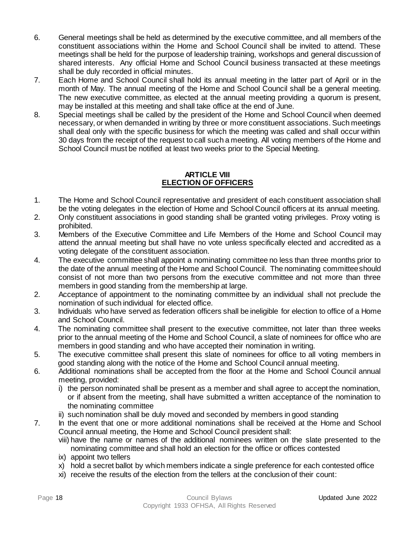- 6. General meetings shall be held as determined by the executive committee, and all members of the constituent associations within the Home and School Council shall be invited to attend. These meetings shall be held for the purpose of leadership training, workshops and general discussion of shared interests. Any official Home and School Council business transacted at these meetings shall be duly recorded in official minutes.
- 7. Each Home and School Council shall hold its annual meeting in the latter part of April or in the month of May. The annual meeting of the Home and School Council shall be a general meeting. The new executive committee, as elected at the annual meeting providing a quorum is present, may be installed at this meeting and shall take office at the end of June.
- 8. Special meetings shall be called by the president of the Home and School Council when deemed necessary, or when demanded in writing by three or more constituent associations. Such meetings shall deal only with the specific business for which the meeting was called and shall occur within 30 days from the receipt of the request to call such a meeting. All voting members of the Home and School Council must be notified at least two weeks prior to the Special Meeting.

#### **ARTICLE VIII ELECTION OF OFFICERS**

- <span id="page-17-0"></span>1. The Home and School Council representative and president of each constituent association shall be the voting delegates in the election of Home and School Council officers at its annual meeting.
- 2. Only constituent associations in good standing shall be granted voting privileges. Proxy voting is prohibited.
- 3. Members of the Executive Committee and Life Members of the Home and School Council may attend the annual meeting but shall have no vote unless specifically elected and accredited as a voting delegate of the constituent association.
- 4. The executive committee shall appoint a nominating committee no less than three months prior to the date of the annual meeting of the Home and School Council. The nominating committee should consist of not more than two persons from the executive committee and not more than three members in good standing from the membership at large.
- 2. Acceptance of appointment to the nominating committee by an individual shall not preclude the nomination of such individual for elected office.
- 3. Individuals who have served as federation officers shall be ineligible for election to office of a Home and School Council.
- 4. The nominating committee shall present to the executive committee, not later than three weeks prior to the annual meeting of the Home and School Council, a slate of nominees for office who are members in good standing and who have accepted their nomination in writing.
- 5. The executive committee shall present this slate of nominees for office to all voting members in good standing along with the notice of the Home and School Council annual meeting.
- 6. Additional nominations shall be accepted from the floor at the Home and School Council annual meeting, provided:
	- i) the person nominated shall be present as a member and shall agree to accept the nomination, or if absent from the meeting, shall have submitted a written acceptance of the nomination to the nominating committee
	- ii) such nomination shall be duly moved and seconded by members in good standing
- 7. In the event that one or more additional nominations shall be received at the Home and School Council annual meeting, the Home and School Council president shall:
	- viii) have the name or names of the additional nominees written on the slate presented to the nominating committee and shall hold an election for the office or offices contested
	- ix) appoint two tellers
	- x) hold a secret ballot by which members indicate a single preference for each contested office
	- xi) receive the results of the election from the tellers at the conclusion of their count: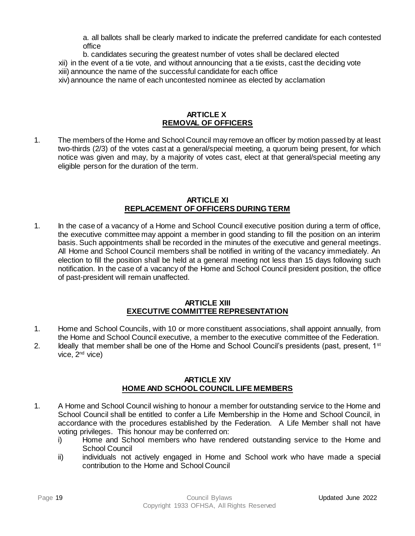a. all ballots shall be clearly marked to indicate the preferred candidate for each contested office

- b. candidates securing the greatest number of votes shall be declared elected
- xii) in the event of a tie vote, and without announcing that a tie exists, cast the deciding vote
- xiii) announce the name of the successful candidate for each office
- xiv)announce the name of each uncontested nominee as elected by acclamation

#### **ARTICLE X REMOVAL OF OFFICERS**

<span id="page-18-0"></span>1. The members of the Home and School Council may remove an officer by motion passed by at least two-thirds (2/3) of the votes cast at a general/special meeting, a quorum being present, for which notice was given and may, by a majority of votes cast, elect at that general/special meeting any eligible person for the duration of the term.

#### **ARTICLE XI REPLACEMENT OF OFFICERS DURING TERM**

<span id="page-18-1"></span>1. In the case of a vacancy of a Home and School Council executive position during a term of office, the executive committee may appoint a member in good standing to fill the position on an interim basis. Such appointments shall be recorded in the minutes of the executive and general meetings. All Home and School Council members shall be notified in writing of the vacancy immediately. An election to fill the position shall be held at a general meeting not less than 15 days following such notification. In the case of a vacancy of the Home and School Council president position, the office of past-president will remain unaffected.

#### **ARTICLE XIII EXECUTIVE COMMITTEE REPRESENTATION**

- <span id="page-18-2"></span>1. Home and School Councils, with 10 or more constituent associations, shall appoint annually, from the Home and School Council executive, a member to the executive committee of the Federation.
- 2. Ideally that member shall be one of the Home and School Council's presidents (past, present, 1<sup>st</sup> vice, 2<sup>nd</sup> vice)

#### **ARTICLE XIV HOME AND SCHOOL COUNCIL LIFE MEMBERS**

- <span id="page-18-3"></span>1. A Home and School Council wishing to honour a member for outstanding service to the Home and School Council shall be entitled to confer a Life Membership in the Home and School Council, in accordance with the procedures established by the Federation. A Life Member shall not have voting privileges. This honour may be conferred on:
	- i) Home and School members who have rendered outstanding service to the Home and School Council
	- ii) individuals not actively engaged in Home and School work who have made a special contribution to the Home and School Council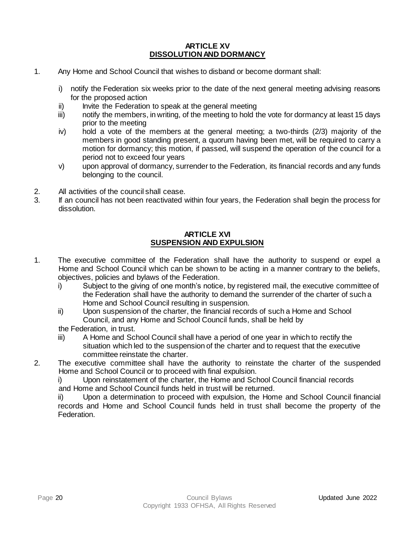#### **ARTICLE XV DISSOLUTION AND DORMANCY**

- <span id="page-19-0"></span>1. Any Home and School Council that wishes to disband or become dormant shall:
	- i) notify the Federation six weeks prior to the date of the next general meeting advising reasons for the proposed action
	- ii) Invite the Federation to speak at the general meeting
	- iii) notify the members, in writing, of the meeting to hold the vote for dormancy at least 15 days prior to the meeting
	- iv) hold a vote of the members at the general meeting; a two-thirds (2/3) majority of the members in good standing present, a quorum having been met, will be required to carry a motion for dormancy; this motion, if passed, will suspend the operation of the council for a period not to exceed four years
	- v) upon approval of dormancy, surrender to the Federation, its financial records and any funds belonging to the council.
- 2. All activities of the council shall cease.
- 3. If an council has not been reactivated within four years, the Federation shall begin the process for dissolution.

#### **ARTICLE XVI SUSPENSION AND EXPULSION**

- <span id="page-19-1"></span>1. The executive committee of the Federation shall have the authority to suspend or expel a Home and School Council which can be shown to be acting in a manner contrary to the beliefs, objectives, policies and bylaws of the Federation.
	- i) Subject to the giving of one month's notice, by registered mail, the executive committee of the Federation shall have the authority to demand the surrender of the charter of such a Home and School Council resulting in suspension.
	- ii) Upon suspension of the charter, the financial records of such a Home and School Council, and any Home and School Council funds, shall be held by

the Federation, in trust.

- iii) A Home and School Council shall have a period of one year in which to rectify the situation which led to the suspension of the charter and to request that the executive committee reinstate the charter.
- 2. The executive committee shall have the authority to reinstate the charter of the suspended Home and School Council or to proceed with final expulsion.

i) Upon reinstatement of the charter, the Home and School Council financial records and Home and School Council funds held in trust will be returned.

ii) Upon a determination to proceed with expulsion, the Home and School Council financial records and Home and School Council funds held in trust shall become the property of the Federation.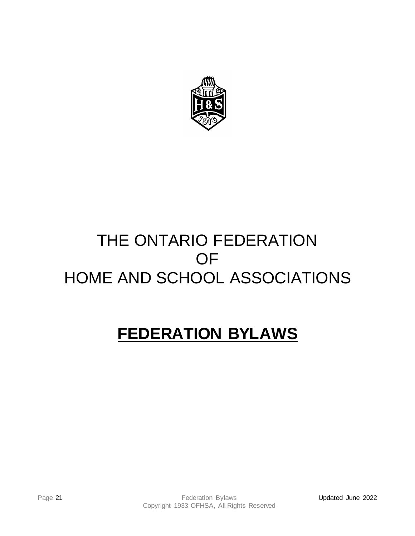

## THE ONTARIO FEDERATION OF HOME AND SCHOOL ASSOCIATIONS

# <span id="page-20-0"></span>**FEDERATION BYLAWS**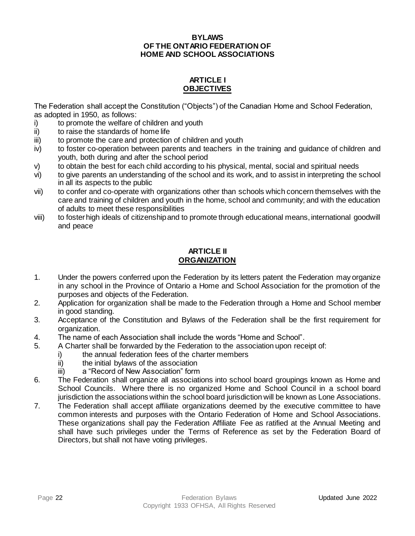#### **BYLAWS OF THE ONTARIO FEDERATION OF HOME AND SCHOOL ASSOCIATIONS**

#### **ARTICLE I OBJECTIVES**

<span id="page-21-0"></span>The Federation shall accept the Constitution ("Objects") of the Canadian Home and School Federation, as adopted in 1950, as follows:

- i) to promote the welfare of children and youth
- ii) to raise the standards of home life
- iii) to promote the care and protection of children and youth
- iv) to foster co-operation between parents and teachers in the training and guidance of children and youth, both during and after the school period
- v) to obtain the best for each child according to his physical, mental, social and spiritual needs
- vi) to give parents an understanding of the school and its work, and to assist in interpreting the school in all its aspects to the public
- vii) to confer and co-operate with organizations other than schools which concern themselves with the care and training of children and youth in the home, school and community; and with the education of adults to meet these responsibilities
- viii) to foster high ideals of citizenship and to promote through educational means, international goodwill and peace

#### **ARTICLE II ORGANIZATION**

- <span id="page-21-1"></span>1. Under the powers conferred upon the Federation by its letters patent the Federation may organize in any school in the Province of Ontario a Home and School Association for the promotion of the purposes and objects of the Federation.
- 2. Application for organization shall be made to the Federation through a Home and School member in good standing.
- 3. Acceptance of the Constitution and Bylaws of the Federation shall be the first requirement for organization.
- 4. The name of each Association shall include the words "Home and School".
- 5. A Charter shall be forwarded by the Federation to the association upon receipt of:
	- i) the annual federation fees of the charter members
	- ii) the initial bylaws of the association
	- iii) a "Record of New Association" form
- 6. The Federation shall organize all associations into school board groupings known as Home and School Councils. Where there is no organized Home and School Council in a school board jurisdiction the associations within the school board jurisdiction will be known as Lone Associations.
- 7. The Federation shall accept affiliate organizations deemed by the executive committee to have common interests and purposes with the Ontario Federation of Home and School Associations. These organizations shall pay the Federation Affiliate Fee as ratified at the Annual Meeting and shall have such privileges under the Terms of Reference as set by the Federation Board of Directors, but shall not have voting privileges.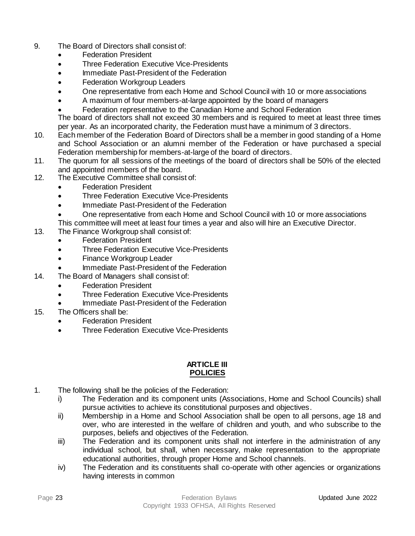- 9. The Board of Directors shall consist of:
	- Federation President
	- Three Federation Executive Vice-Presidents
	- Immediate Past-President of the Federation
	- **Federation Workgroup Leaders**
	- One representative from each Home and School Council with 10 or more associations
	- A maximum of four members-at-large appointed by the board of managers
	- Federation representative to the Canadian Home and School Federation

The board of directors shall not exceed 30 members and is required to meet at least three times per year. As an incorporated charity, the Federation must have a minimum of 3 directors.

- 10. Each member of the Federation Board of Directors shall be a member in good standing of a Home and School Association or an alumni member of the Federation or have purchased a special Federation membership for members-at-large of the board of directors.
- 11. The quorum for all sessions of the meetings of the board of directors shall be 50% of the elected and appointed members of the board.
- 12. The Executive Committee shall consist of:
	- Federation President
	- Three Federation Executive Vice-Presidents
	- Immediate Past-President of the Federation
	- One representative from each Home and School Council with 10 or more associations
	- This committee will meet at least four times a year and also will hire an Executive Director.
- 13. The Finance Workgroup shall consist of:
	- Federation President
	- Three Federation Executive Vice-Presidents
	- Finance Workgroup Leader
		- Immediate Past-President of the Federation
- 14. The Board of Managers shall consist of:
	- **Federation President**
	- Three Federation Executive Vice-Presidents
	- Immediate Past-President of the Federation
- 15. The Officers shall be:
	- **Federation President**
	- Three Federation Executive Vice-Presidents

#### **ARTICLE III POLICIES**

- <span id="page-22-0"></span>1. The following shall be the policies of the Federation:
	- i) The Federation and its component units (Associations, Home and School Councils) shall pursue activities to achieve its constitutional purposes and objectives.
	- ii) Membership in a Home and School Association shall be open to all persons, age 18 and over, who are interested in the welfare of children and youth, and who subscribe to the purposes, beliefs and objectives of the Federation.
	- iii) The Federation and its component units shall not interfere in the administration of any individual school, but shall, when necessary, make representation to the appropriate educational authorities, through proper Home and School channels.
	- iv) The Federation and its constituents shall co-operate with other agencies or organizations having interests in common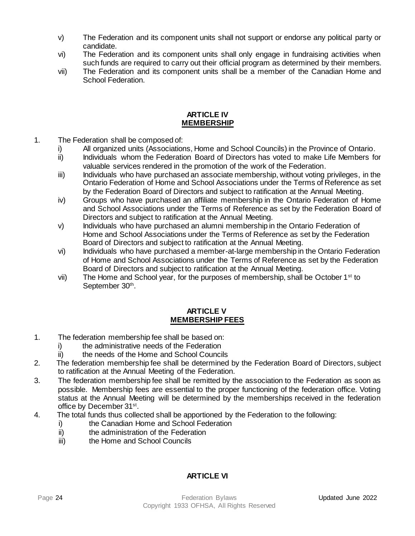- v) The Federation and its component units shall not support or endorse any political party or candidate.
- vi) The Federation and its component units shall only engage in fundraising activities when such funds are required to carry out their official program as determined by their members.
- vii) The Federation and its component units shall be a member of the Canadian Home and School Federation.

#### **ARTICLE IV MEMBERSHIP**

- <span id="page-23-0"></span>1. The Federation shall be composed of:
	- i) All organized units (Associations, Home and School Councils) in the Province of Ontario.
	- ii) Individuals whom the Federation Board of Directors has voted to make Life Members for valuable services rendered in the promotion of the work of the Federation.
	- iii) Individuals who have purchased an associate membership, without voting privileges, in the Ontario Federation of Home and School Associations under the Terms of Reference as set by the Federation Board of Directors and subject to ratification at the Annual Meeting.
	- iv) Groups who have purchased an affiliate membership in the Ontario Federation of Home and School Associations under the Terms of Reference as set by the Federation Board of Directors and subject to ratification at the Annual Meeting.
	- v) Individuals who have purchased an alumni membership in the Ontario Federation of Home and School Associations under the Terms of Reference as set by the Federation Board of Directors and subject to ratification at the Annual Meeting.
	- vi) Individuals who have purchased a member-at-large membership in the Ontario Federation of Home and School Associations under the Terms of Reference as set by the Federation Board of Directors and subject to ratification at the Annual Meeting.
	- vii) The Home and School year, for the purposes of membership, shall be October  $1<sup>st</sup>$  to September 30<sup>th</sup>.

#### **ARTICLE V MEMBERSHIP FEES**

- <span id="page-23-1"></span>1. The federation membership fee shall be based on:
	- i) the administrative needs of the Federation
	- ii) the needs of the Home and School Councils
- 2. The federation membership fee shall be determined by the Federation Board of Directors, subject to ratification at the Annual Meeting of the Federation.
- 3. The federation membership fee shall be remitted by the association to the Federation as soon as possible. Membership fees are essential to the proper functioning of the federation office. Voting status at the Annual Meeting will be determined by the memberships received in the federation office by December 31<sup>st</sup>.
- 4. The total funds thus collected shall be apportioned by the Federation to the following:
	- i) the Canadian Home and School Federation
	- ii) the administration of the Federation
	- iii) the Home and School Councils

#### **ARTICLE VI**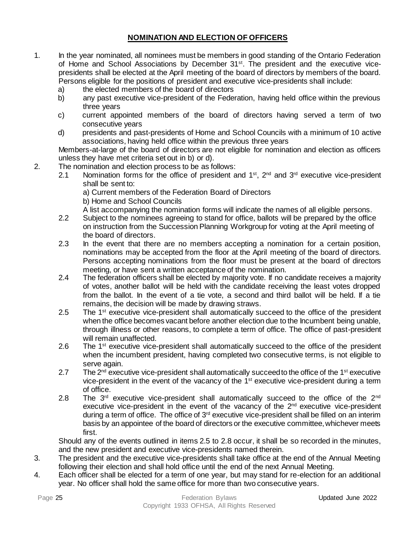### **NOMINATION AND ELECTION OF OFFICERS**

- <span id="page-24-0"></span>1. In the year nominated, all nominees must be members in good standing of the Ontario Federation of Home and School Associations by December 31st. The president and the executive vicepresidents shall be elected at the April meeting of the board of directors by members of the board. Persons eligible for the positions of president and executive vice-presidents shall include:
	- a) the elected members of the board of directors
	- b) any past executive vice-president of the Federation, having held office within the previous three years
	- c) current appointed members of the board of directors having served a term of two consecutive years
	- d) presidents and past-presidents of Home and School Councils with a minimum of 10 active associations, having held office within the previous three years

Members-at-large of the board of directors are not eligible for nomination and election as officers unless they have met criteria set out in b) or d).

- 2. The nomination and election process to be as follows:
	- 2.1 Nomination forms for the office of president and  $1<sup>st</sup>$ ,  $2<sup>nd</sup>$  and  $3<sup>rd</sup>$  executive vice-president shall be sent to:
		- a) Current members of the Federation Board of Directors
		- b) Home and School Councils
		- A list accompanying the nomination forms will indicate the names of all eligible persons.
	- 2.2 Subject to the nominees agreeing to stand for office, ballots will be prepared by the office on instruction from the Succession Planning Workgroup for voting at the April meeting of the board of directors.
	- 2.3 In the event that there are no members accepting a nomination for a certain position, nominations may be accepted from the floor at the April meeting of the board of directors. Persons accepting nominations from the floor must be present at the board of directors meeting, or have sent a written acceptance of the nomination.
	- 2.4 The federation officers shall be elected by majority vote. If no candidate receives a majority of votes, another ballot will be held with the candidate receiving the least votes dropped from the ballot. In the event of a tie vote, a second and third ballot will be held. If a tie remains, the decision will be made by drawing straws.
	- 2.5 The 1<sup>st</sup> executive vice-president shall automatically succeed to the office of the president when the office becomes vacant before another election due to the Incumbent being unable, through illness or other reasons, to complete a term of office. The office of past-president will remain unaffected.
	- 2.6 The 1<sup>st</sup> executive vice-president shall automatically succeed to the office of the president when the incumbent president, having completed two consecutive terms, is not eligible to serve again.
	- 2.7 The  $2^{nd}$  executive vice-president shall automatically succeed to the office of the 1<sup>st</sup> executive vice-president in the event of the vacancy of the  $1<sup>st</sup>$  executive vice-president during a term of office.
	- 2.8 The  $3<sup>rd</sup>$  executive vice-president shall automatically succeed to the office of the  $2<sup>nd</sup>$ executive vice-president in the event of the vacancy of the  $2<sup>nd</sup>$  executive vice-president during a term of office. The office of 3<sup>rd</sup> executive vice-president shall be filled on an interim basis by an appointee of the board of directors or the executive committee, whichever meets first.

Should any of the events outlined in items 2.5 to 2.8 occur, it shall be so recorded in the minutes, and the new president and executive vice-presidents named therein.

- 3. The president and the executive vice-presidents shall take office at the end of the Annual Meeting following their election and shall hold office until the end of the next Annual Meeting.
- 4. Each officer shall be elected for a term of one year, but may stand for re-election for an additional year. No officer shall hold the same office for more than two consecutive years.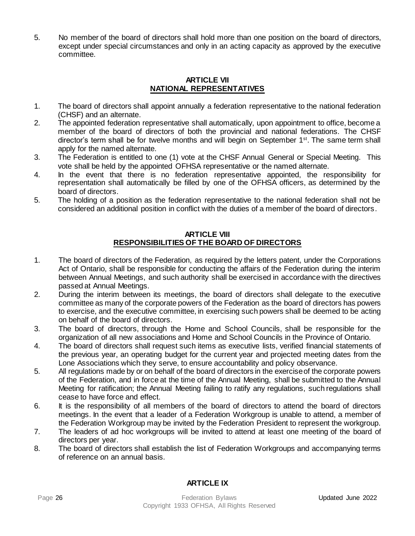5. No member of the board of directors shall hold more than one position on the board of directors, except under special circumstances and only in an acting capacity as approved by the executive committee.

#### **ARTICLE VII NATIONAL REPRESENTATIVES**

- <span id="page-25-0"></span>1. The board of directors shall appoint annually a federation representative to the national federation (CHSF) and an alternate.
- 2. The appointed federation representative shall automatically, upon appointment to office, become a member of the board of directors of both the provincial and national federations. The CHSF director's term shall be for twelve months and will begin on September  $1<sup>st</sup>$ . The same term shall apply for the named alternate.
- 3. The Federation is entitled to one (1) vote at the CHSF Annual General or Special Meeting. This vote shall be held by the appointed OFHSA representative or the named alternate.
- 4. In the event that there is no federation representative appointed, the responsibility for representation shall automatically be filled by one of the OFHSA officers, as determined by the board of directors.
- 5. The holding of a position as the federation representative to the national federation shall not be considered an additional position in conflict with the duties of a member of the board of directors.

#### **ARTICLE VIII RESPONSIBILITIES OF THE BOARD OF DIRECTORS**

- <span id="page-25-1"></span>1. The board of directors of the Federation, as required by the letters patent, under the Corporations Act of Ontario, shall be responsible for conducting the affairs of the Federation during the interim between Annual Meetings, and such authority shall be exercised in accordance with the directives passed at Annual Meetings.
- 2. During the interim between its meetings, the board of directors shall delegate to the executive committee as many of the corporate powers of the Federation as the board of directors has powers to exercise, and the executive committee, in exercising such powers shall be deemed to be acting on behalf of the board of directors.
- 3. The board of directors, through the Home and School Councils, shall be responsible for the organization of all new associations and Home and School Councils in the Province of Ontario.
- 4. The board of directors shall request such items as executive lists, verified financial statements of the previous year, an operating budget for the current year and projected meeting dates from the Lone Associations which they serve, to ensure accountability and policy observance.
- 5. All regulations made by or on behalf of the board of directors in the exercise of the corporate powers of the Federation, and in force at the time of the Annual Meeting, shall be submitted to the Annual Meeting for ratification; the Annual Meeting failing to ratify any regulations, such regulations shall cease to have force and effect.
- 6. It is the responsibility of all members of the board of directors to attend the board of directors meetings. In the event that a leader of a Federation Workgroup is unable to attend, a member of the Federation Workgroup may be invited by the Federation President to represent the workgroup.
- 7. The leaders of ad hoc workgroups will be invited to attend at least one meeting of the board of directors per year.
- 8. The board of directors shall establish the list of Federation Workgroups and accompanying terms of reference on an annual basis*.*

### **ARTICLE IX**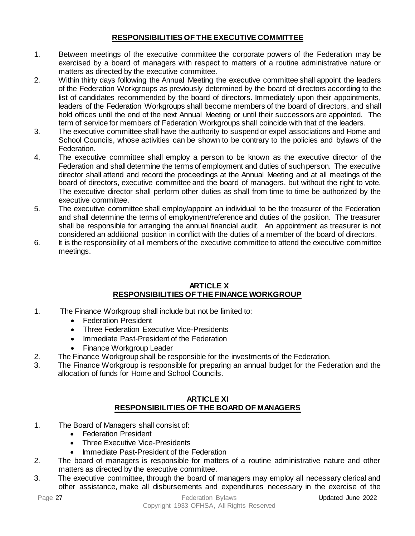#### **RESPONSIBILITIES OF THE EXECUTIVE COMMITTEE**

- <span id="page-26-0"></span>1. Between meetings of the executive committee the corporate powers of the Federation may be exercised by a board of managers with respect to matters of a routine administrative nature or matters as directed by the executive committee.
- 2. Within thirty days following the Annual Meeting the executive committee shall appoint the leaders of the Federation Workgroups as previously determined by the board of directors according to the list of candidates recommended by the board of directors. Immediately upon their appointments, leaders of the Federation Workgroups shall become members of the board of directors, and shall hold offices until the end of the next Annual Meeting or until their successors are appointed. The term of service for members of Federation Workgroups shall coincide with that of the leaders.
- 3. The executive committee shall have the authority to suspend or expel associations and Home and School Councils, whose activities can be shown to be contrary to the policies and bylaws of the Federation.
- 4. The executive committee shall employ a person to be known as the executive director of the Federation and shall determine the terms of employment and duties of such person. The executive director shall attend and record the proceedings at the Annual Meeting and at all meetings of the board of directors, executive committee and the board of managers, but without the right to vote. The executive director shall perform other duties as shall from time to time be authorized by the executive committee.
- 5. The executive committee shall employ/appoint an individual to be the treasurer of the Federation and shall determine the terms of employment/reference and duties of the position. The treasurer shall be responsible for arranging the annual financial audit. An appointment as treasurer is not considered an additional position in conflict with the duties of a member of the board of directors.
- 6. It is the responsibility of all members of the executive committee to attend the executive committee meetings.

#### **ARTICLE X RESPONSIBILITIES OF THE FINANCE WORKGROUP**

- <span id="page-26-1"></span>1. The Finance Workgroup shall include but not be limited to:
	- Federation President
	- Three Federation Executive Vice-Presidents
	- Immediate Past-President of the Federation
	- Finance Workgroup Leader
- 2. The Finance Workgroup shall be responsible for the investments of the Federation.
- 3. The Finance Workgroup is responsible for preparing an annual budget for the Federation and the allocation of funds for Home and School Councils.

#### **ARTICLE XI RESPONSIBILITIES OF THE BOARD OF MANAGERS**

- <span id="page-26-2"></span>1. The Board of Managers shall consist of:
	- Federation President
	- Three Executive Vice-Presidents
	- Immediate Past-President of the Federation
- 2. The board of managers is responsible for matters of a routine administrative nature and other matters as directed by the executive committee.
- 3. The executive committee, through the board of managers may employ all necessary clerical and other assistance, make all disbursements and expenditures necessary in the exercise of the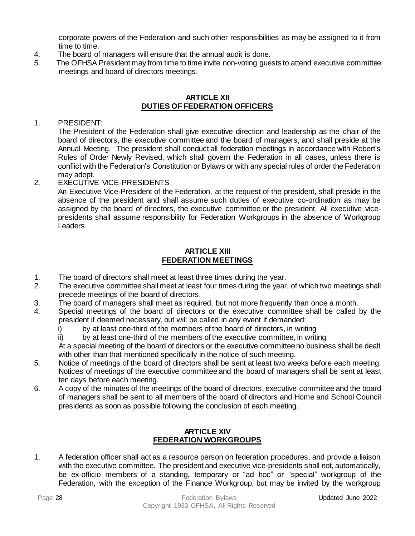corporate powers of the Federation and such other responsibilities as may be assigned to it from time to time.

- 4. The board of managers will ensure that the annual audit is done.
- 5. The OFHSA President may from time to time invite non-voting guests to attend executive committee meetings and board of directors meetings.

#### **ARTICLE XII DUTIES OF FEDERATION OFFICERS**

#### <span id="page-27-0"></span>1. PRESIDENT:

The President of the Federation shall give executive direction and leadership as the chair of the board of directors, the executive committee and the board of managers, and shall preside at the Annual Meeting. The president shall conduct all federation meetings in accordance with Robert's Rules of Order Newly Revised, which shall govern the Federation in all cases, unless there is conflict with the Federation's Constitution or Bylaws or with any special rules of order the Federation may adopt.

#### 2. EXECUTIVE VICE-PRESIDENTS

An Executive Vice-President of the Federation, at the request of the president, shall preside in the absence of the president and shall assume such duties of executive co-ordination as may be assigned by the board of directors, the executive committee or the president. All executive vicepresidents shall assume responsibility for Federation Workgroups in the absence of Workgroup Leaders.

#### **ARTICLE XIII FEDERATION MEETINGS**

- <span id="page-27-1"></span>1. The board of directors shall meet at least three times during the year.
- 2. The executive committee shall meet at least four times during the year, of which two meetings shall precede meetings of the board of directors.
- 3. The board of managers shall meet as required, but not more frequently than once a month.
- 4. Special meetings of the board of directors or the executive committee shall be called by the president if deemed necessary, but will be called in any event if demanded:
	- i) by at least one-third of the members of the board of directors, in writing
	- ii) by at least one-third of the members of the executive committee, in writing

At a special meeting of the board of directors or the executive committee no business shall be dealt with other than that mentioned specifically in the notice of such meeting.

- 5. Notice of meetings of the board of directors shall be sent at least two weeks before each meeting. Notices of meetings of the executive committee and the board of managers shall be sent at least ten days before each meeting.
- 6. A copy of the minutes of the meetings of the board of directors, executive committee and the board of managers shall be sent to all members of the board of directors and Home and School Council presidents as soon as possible following the conclusion of each meeting.

#### **ARTICLE XIV FEDERATION WORKGROUPS**

<span id="page-27-2"></span>1. A federation officer shall act as a resource person on federation procedures, and provide a liaison with the executive committee. The president and executive vice-presidents shall not, automatically, be ex-officio members of a standing, temporary or "ad hoc" or "special" workgroup of the Federation, with the exception of the Finance Workgroup, but may be invited by the workgroup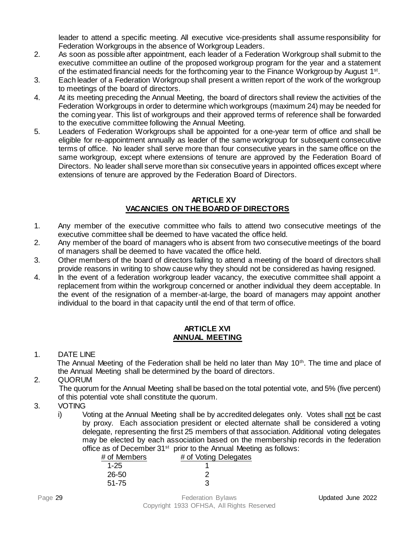leader to attend a specific meeting. All executive vice-presidents shall assume responsibility for Federation Workgroups in the absence of Workgroup Leaders.

- 2. As soon as possible after appointment, each leader of a Federation Workgroup shall submit to the executive committee an outline of the proposed workgroup program for the year and a statement of the estimated financial needs for the forthcoming year to the Finance Workgroup by August 1<sup>st</sup>.
- 3. Each leader of a Federation Workgroup shall present a written report of the work of the workgroup to meetings of the board of directors.
- 4. At its meeting preceding the Annual Meeting, the board of directors shall review the activities of the Federation Workgroups in order to determine which workgroups (maximum 24) may be needed for the coming year. This list of workgroups and their approved terms of reference shall be forwarded to the executive committee following the Annual Meeting.
- 5. Leaders of Federation Workgroups shall be appointed for a one-year term of office and shall be eligible for re-appointment annually as leader of the same workgroup for subsequent consecutive terms of office. No leader shall serve more than four consecutive years in the same office on the same workgroup, except where extensions of tenure are approved by the Federation Board of Directors. No leader shall serve more than six consecutive years in appointed offices except where extensions of tenure are approved by the Federation Board of Directors.

#### **ARTICLE XV VACANCIES ON THE BOARD OF DIRECTORS**

- <span id="page-28-0"></span>1. Any member of the executive committee who fails to attend two consecutive meetings of the executive committee shall be deemed to have vacated the office held.
- 2. Any member of the board of managers who is absent from two consecutive meetings of the board of managers shall be deemed to have vacated the office held.
- 3. Other members of the board of directors failing to attend a meeting of the board of directors shall provide reasons in writing to show cause why they should not be considered as having resigned.
- 4. In the event of a federation workgroup leader vacancy, the executive committee shall appoint a replacement from within the workgroup concerned or another individual they deem acceptable. In the event of the resignation of a member-at-large, the board of managers may appoint another individual to the board in that capacity until the end of that term of office.

#### **ARTICLE XVI ANNUAL MEETING**

#### <span id="page-28-2"></span><span id="page-28-1"></span>1. DATE LINE

The Annual Meeting of the Federation shall be held no later than May 10<sup>th</sup>. The time and place of the Annual Meeting shall be determined by the board of directors.

<span id="page-28-3"></span>2. QUORUM

 The quorum for the Annual Meeting shall be based on the total potential vote, and 5% (five percent) of this potential vote shall constitute the quorum.

### <span id="page-28-4"></span>3. VOTING

i) Voting at the Annual Meeting shall be by accredited delegates only. Votes shall not be cast by proxy. Each association president or elected alternate shall be considered a voting delegate, representing the first 25 members of that association. Additional voting delegates may be elected by each association based on the membership records in the federation office as of December 31<sup>st</sup> prior to the Annual Meeting as follows:

| # of Members | # of Voting Delegates |
|--------------|-----------------------|
| $1 - 25$     |                       |
| 26-50        |                       |
| $51 - 75$    | З                     |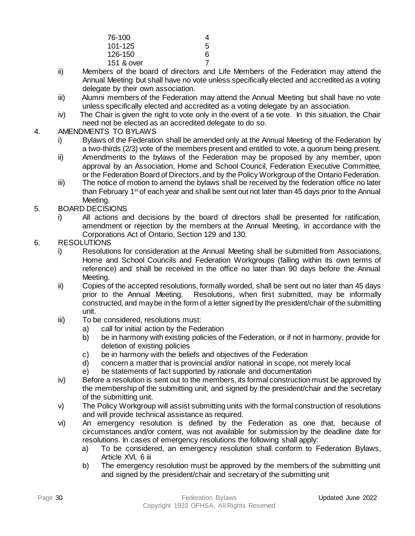| 76-100     | 4 |
|------------|---|
| 101-125    | 5 |
| 126-150    | 6 |
| 151 & over |   |
|            |   |

- ii) Members of the board of directors and Life Members of the Federation may attend the Annual Meeting but shall have no vote unless specifically elected and accredited as a voting delegate by their own association.
- iii) Alumni members of the Federation may attend the Annual Meeting but shall have no vote unless specifically elected and accredited as a voting delegate by an association.
- iv) The Chair is given the right to vote only in the event of a tie vote. In this situation, the Chair need not be elected as an accredited delegate to do so.

#### <span id="page-29-0"></span>4. AMENDMENTS TO BYLAWS

- i) Bylaws of the Federation shall be amended only at the Annual Meeting of the Federation by a two-thirds (2/3) vote of the members present and entitled to vote, a quorum being present.
- ii) Amendments to the bylaws of the Federation may be proposed by any member, upon approval by an Association, Home and School Council, Federation Executive Committee, or the Federation Board of Directors, and by the Policy Workgroup of the Ontario Federation.
- iii) The notice of motion to amend the bylaws shall be received by the federation office no later than February 1<sup>st</sup> of each year and shall be sent out not later than 45 days prior to the Annual Meeting.
- <span id="page-29-1"></span>5. BOARD DECISIONS
	- i) All actions and decisions by the board of directors shall be presented for ratification, amendment or rejection by the members at the Annual Meeting, in accordance with the Corporations Act of Ontario, Section 129 and 130.
- <span id="page-29-2"></span>6. RESOLUTIONS
	- i) Resolutions for consideration at the Annual Meeting shall be submitted from Associations, Home and School Councils and Federation Workgroups (falling within its own terms of reference) and shall be received in the office no later than 90 days before the Annual Meeting.
	- ii) Copies of the accepted resolutions, formally worded, shall be sent out no later than 45 days prior to the Annual Meeting. Resolutions, when first submitted, may be informally constructed, and may be in the form of a letter signed by the president/chair of the submitting unit.
	- iii) To be considered, resolutions must:
		- a) call for initial action by the Federation
		- b) be in harmony with existing policies of the Federation, or if not in harmony, provide for deletion of existing policies
		- c) be in harmony with the beliefs and objectives of the Federation
		- d) concern a matter that is provincial and/or national in scope, not merely local
		- e) be statements of fact supported by rationale and documentation
	- iv) Before a resolution is sent out to the members, its formal construction must be approved by the membership of the submitting unit, and signed by the president/chair and the secretary of the submitting unit.
	- v) The Policy Workgroup will assist submitting units with the formal construction of resolutions and will provide technical assistance as required.
	- vi) An emergency resolution is defined by the Federation as one that, because of circumstances and/or content, was not available for submission by the deadline date for resolutions. In cases of emergency resolutions the following shall apply:
		- a) To be considered, an emergency resolution shall conform to Federation Bylaws, Article XVI, 6 iii
		- b) The emergency resolution must be approved by the members of the submitting unit and signed by the president/chair and secretary of the submitting unit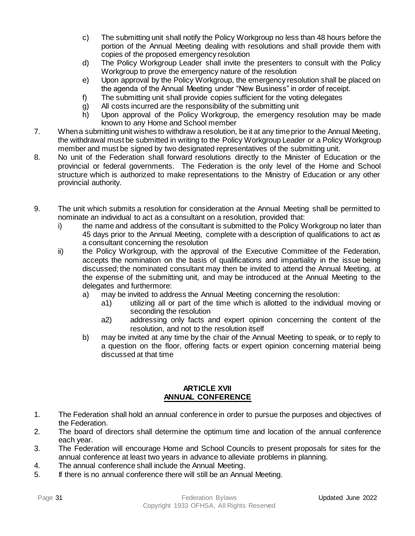- c) The submitting unit shall notify the Policy Workgroup no less than 48 hours before the portion of the Annual Meeting dealing with resolutions and shall provide them with copies of the proposed emergency resolution
- d) The Policy Workgroup Leader shall invite the presenters to consult with the Policy Workgroup to prove the emergency nature of the resolution
- e) Upon approval by the Policy Workgroup, the emergency resolution shall be placed on the agenda of the Annual Meeting under "New Business" in order of receipt.
- f) The submitting unit shall provide copies sufficient for the voting delegates
- g) All costs incurred are the responsibility of the submitting unit
- h) Upon approval of the Policy Workgroup, the emergency resolution may be made known to any Home and School member
- 7. When a submitting unit wishes to withdraw a resolution, be it at any time prior to the Annual Meeting, the withdrawal must be submitted in writing to the Policy Workgroup Leader or a Policy Workgroup member and must be signed by two designated representatives of the submitting unit.
- 8. No unit of the Federation shall forward resolutions directly to the Minister of Education or the provincial or federal governments. The Federation is the only level of the Home and School structure which is authorized to make representations to the Ministry of Education or any other provincial authority.
- 9. The unit which submits a resolution for consideration at the Annual Meeting shall be permitted to nominate an individual to act as a consultant on a resolution, provided that:
	- i) the name and address of the consultant is submitted to the Policy Workgroup no later than 45 days prior to the Annual Meeting, complete with a description of qualifications to act as a consultant concerning the resolution
	- ii) the Policy Workgroup, with the approval of the Executive Committee of the Federation, accepts the nomination on the basis of qualifications and impartiality in the issue being discussed; the nominated consultant may then be invited to attend the Annual Meeting, at the expense of the submitting unit, and may be introduced at the Annual Meeting to the delegates and furthermore:
		- a) may be invited to address the Annual Meeting concerning the resolution:
			- a1) utilizing all or part of the time which is allotted to the individual moving or seconding the resolution
			- a2) addressing only facts and expert opinion concerning the content of the resolution, and not to the resolution itself
		- b) may be invited at any time by the chair of the Annual Meeting to speak, or to reply to a question on the floor, offering facts or expert opinion concerning material being discussed at that time

#### **ARTICLE XVII ANNUAL CONFERENCE**

- <span id="page-30-0"></span>1. The Federation shall hold an annual conference in order to pursue the purposes and objectives of the Federation.
- 2. The board of directors shall determine the optimum time and location of the annual conference each year.
- 3. The Federation will encourage Home and School Councils to present proposals for sites for the annual conference at least two years in advance to alleviate problems in planning.
- 4. The annual conference shall include the Annual Meeting.
- 5. If there is no annual conference there will still be an Annual Meeting.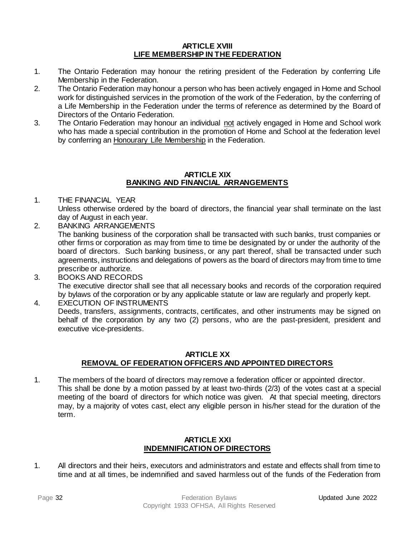#### **ARTICLE XVIII LIFE MEMBERSHIP IN THE FEDERATION**

- <span id="page-31-0"></span>1. The Ontario Federation may honour the retiring president of the Federation by conferring Life Membership in the Federation.
- 2. The Ontario Federation may honour a person who has been actively engaged in Home and School work for distinguished services in the promotion of the work of the Federation, by the conferring of a Life Membership in the Federation under the terms of reference as determined by the Board of Directors of the Ontario Federation.
- 3. The Ontario Federation may honour an individual not actively engaged in Home and School work who has made a special contribution in the promotion of Home and School at the federation level by conferring an Honourary Life Membership in the Federation.

#### **ARTICLE XIX BANKING AND FINANCIAL ARRANGEMENTS**

- <span id="page-31-1"></span>1. THE FINANCIAL YEAR Unless otherwise ordered by the board of directors, the financial year shall terminate on the last day of August in each year.
- 2. BANKING ARRANGEMENTS The banking business of the corporation shall be transacted with such banks, trust companies or other firms or corporation as may from time to time be designated by or under the authority of the board of directors. Such banking business, or any part thereof, shall be transacted under such agreements, instructions and delegations of powers as the board of directors may from time to time prescribe or authorize.
- 3. BOOKS AND RECORDS The executive director shall see that all necessary books and records of the corporation required by bylaws of the corporation or by any applicable statute or law are regularly and properly kept.
- 4. EXECUTION OF INSTRUMENTS Deeds, transfers, assignments, contracts, certificates, and other instruments may be signed on behalf of the corporation by any two (2) persons, who are the past-president, president and executive vice-presidents.

#### **ARTICLE XX REMOVAL OF FEDERATION OFFICERS AND APPOINTED DIRECTORS**

<span id="page-31-2"></span>1. The members of the board of directors may remove a federation officer or appointed director. This shall be done by a motion passed by at least two-thirds (2/3) of the votes cast at a special meeting of the board of directors for which notice was given. At that special meeting, directors may, by a majority of votes cast, elect any eligible person in his/her stead for the duration of the term.

#### **ARTICLE XXI INDEMNIFICATION OF DIRECTORS**

<span id="page-31-3"></span>1. All directors and their heirs, executors and administrators and estate and effects shall from time to time and at all times, be indemnified and saved harmless out of the funds of the Federation from